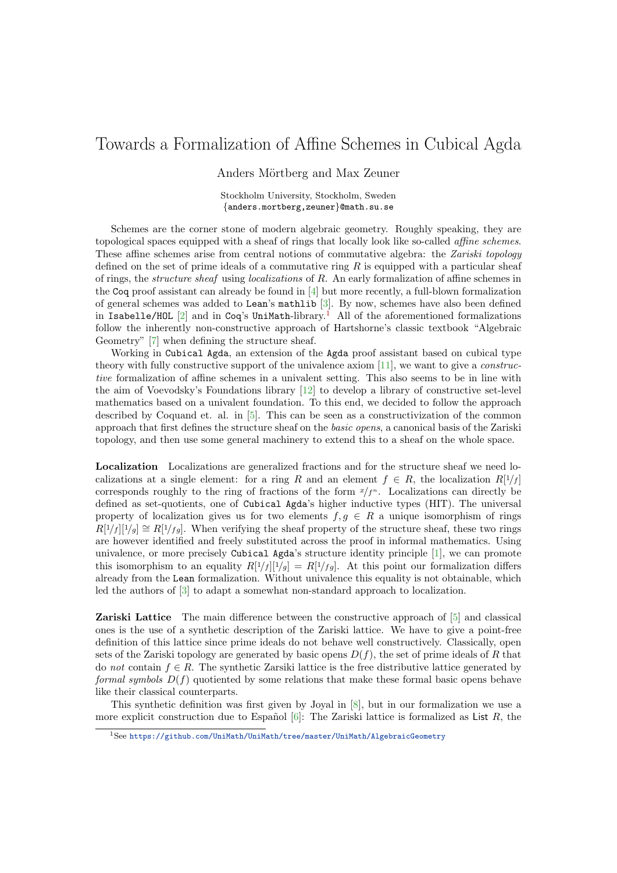## Towards a Formalization of Affine Schemes in Cubical Agda

Anders Mörtberg and Max Zeuner

Stockholm University, Stockholm, Sweden {anders.mortberg,zeuner}@math.su.se

Schemes are the corner stone of modern algebraic geometry. Roughly speaking, they are topological spaces equipped with a sheaf of rings that locally look like so-called affine schemes. These affine schemes arise from central notions of commutative algebra: the Zariski topology defined on the set of prime ideals of a commutative ring  $R$  is equipped with a particular sheaf of rings, the structure sheaf using localizations of R. An early formalization of affine schemes in the Coq proof assistant can already be found in [\[4\]](#page-2-0) but more recently, a full-blown formalization of general schemes was added to Lean's mathlib [\[3\]](#page-2-1). By now, schemes have also been defined in Isabelle/HOL  $[2]$  and in Coq's UniMath-library.<sup>[1](#page-0-0)</sup> All of the aforementioned formalizations follow the inherently non-constructive approach of Hartshorne's classic textbook "Algebraic Geometry" [\[7\]](#page-2-3) when defining the structure sheaf.

Working in Cubical Agda, an extension of the Agda proof assistant based on cubical type theory with fully constructive support of the univalence axiom  $|11|$ , we want to give a *construc*tive formalization of affine schemes in a univalent setting. This also seems to be in line with the aim of Voevodsky's Foundations library [\[12\]](#page-2-5) to develop a library of constructive set-level mathematics based on a univalent foundation. To this end, we decided to follow the approach described by Coquand et. al. in [\[5\]](#page-2-6). This can be seen as a constructivization of the common approach that first defines the structure sheaf on the basic opens, a canonical basis of the Zariski topology, and then use some general machinery to extend this to a sheaf on the whole space.

Localization Localizations are generalized fractions and for the structure sheaf we need localizations at a single element: for a ring R and an element  $f \in R$ , the localization  $R[1/f]$ corresponds roughly to the ring of fractions of the form  $x/f^n$ . Localizations can directly be defined as set-quotients, one of Cubical Agda's higher inductive types (HIT). The universal property of localization gives us for two elements  $f, g \in R$  a unique isomorphism of rings  $R[1/f][1/g] \cong R[1/fg]$ . When verifying the sheaf property of the structure sheaf, these two rings are however identified and freely substituted across the proof in informal mathematics. Using univalence, or more precisely Cubical Agda's structure identity principle [\[1\]](#page-2-7), we can promote this isomorphism to an equality  $R[1/f][1/g] = R[1/fg]$ . At this point our formalization differs already from the Lean formalization. Without univalence this equality is not obtainable, which led the authors of [\[3\]](#page-2-1) to adapt a somewhat non-standard approach to localization.

Zariski Lattice The main difference between the constructive approach of [\[5\]](#page-2-6) and classical ones is the use of a synthetic description of the Zariski lattice. We have to give a point-free definition of this lattice since prime ideals do not behave well constructively. Classically, open sets of the Zariski topology are generated by basic opens  $D(f)$ , the set of prime ideals of R that do not contain  $f \in R$ . The synthetic Zarsiki lattice is the free distributive lattice generated by formal symbols  $D(f)$  quotiented by some relations that make these formal basic opens behave like their classical counterparts.

This synthetic definition was first given by Joyal in [\[8\]](#page-2-8), but in our formalization we use a more explicit construction due to Español [\[6\]](#page-2-9): The Zariski lattice is formalized as List R, the

<span id="page-0-0"></span><sup>1</sup>See <https://github.com/UniMath/UniMath/tree/master/UniMath/AlgebraicGeometry>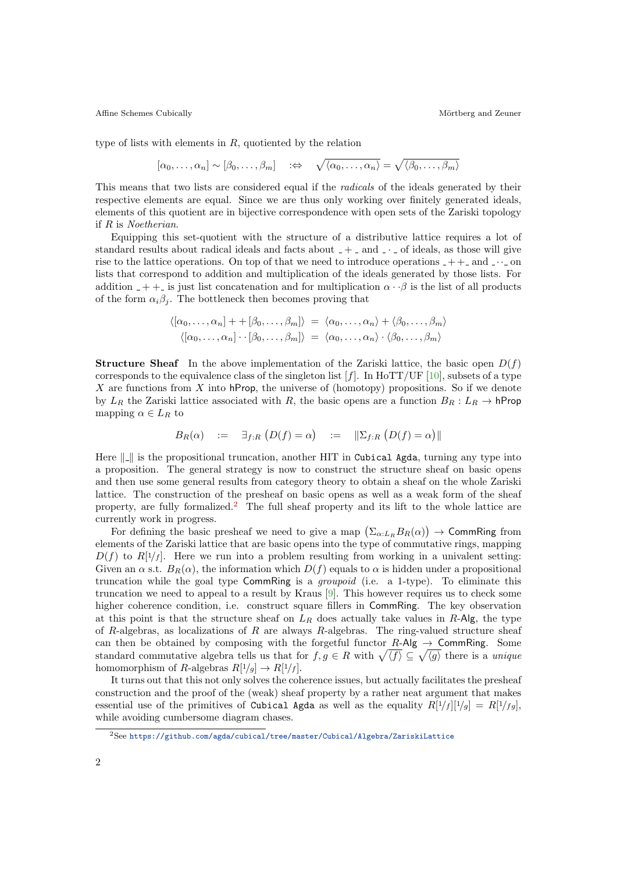Affine Schemes Cubically **M**örtberg and Zeuner

type of lists with elements in  $R$ , quotiented by the relation

$$
[\alpha_0,\ldots,\alpha_n] \sim [\beta_0,\ldots,\beta_m]
$$
  $\Rightarrow \sqrt{\langle \alpha_0,\ldots,\alpha_n \rangle} = \sqrt{\langle \beta_0,\ldots,\beta_m \rangle}$ 

This means that two lists are considered equal if the radicals of the ideals generated by their respective elements are equal. Since we are thus only working over finitely generated ideals, elements of this quotient are in bijective correspondence with open sets of the Zariski topology if R is Noetherian.

Equipping this set-quotient with the structure of a distributive lattice requires a lot of standard results about radical ideals and facts about  $-+$  and  $\cdot \cdot$  of ideals, as those will give rise to the lattice operations. On top of that we need to introduce operations  $-++$  and  $\cdots$  on lists that correspond to addition and multiplication of the ideals generated by those lists. For addition  $- + +$  is just list concatenation and for multiplication  $\alpha \cdot \beta$  is the list of all products of the form  $\alpha_i\beta_j$ . The bottleneck then becomes proving that

$$
\langle [\alpha_0, \ldots, \alpha_n] + [\beta_0, \ldots, \beta_m] \rangle = \langle \alpha_0, \ldots, \alpha_n \rangle + \langle \beta_0, \ldots, \beta_m \rangle
$$
  

$$
\langle [\alpha_0, \ldots, \alpha_n] \cdot [\beta_0, \ldots, \beta_m] \rangle = \langle \alpha_0, \ldots, \alpha_n \rangle \cdot \langle \beta_0, \ldots, \beta_m \rangle
$$

**Structure Sheaf** In the above implementation of the Zariski lattice, the basic open  $D(f)$ corresponds to the equivalence class of the singleton list  $[f]$ . In HoTT/UF [\[10\]](#page-2-10), subsets of a type X are functions from X into hProp, the universe of (homotopy) propositions. So if we denote by  $L_R$  the Zariski lattice associated with R, the basic opens are a function  $B_R: L_R \to \mathsf{hProp}$ mapping  $\alpha \in L_R$  to

$$
B_R(\alpha) \quad := \quad \exists_{f:R} \left( D(f) = \alpha \right) \quad := \quad \|\Sigma_{f:R} \left( D(f) = \alpha \right)\|
$$

Here  $\| \cdot \|$  is the propositional truncation, another HIT in Cubical Agda, turning any type into a proposition. The general strategy is now to construct the structure sheaf on basic opens and then use some general results from category theory to obtain a sheaf on the whole Zariski lattice. The construction of the presheaf on basic opens as well as a weak form of the sheaf property, are fully formalized.[2](#page-1-0) The full sheaf property and its lift to the whole lattice are currently work in progress.

For defining the basic presheaf we need to give a map  $(\Sigma_{\alpha:L_R}B_R(\alpha)) \to \textsf{CommRing}$  from elements of the Zariski lattice that are basic opens into the type of commutative rings, mapping  $D(f)$  to  $R[1/f]$ . Here we run into a problem resulting from working in a univalent setting: Given an  $\alpha$  s.t.  $B_R(\alpha)$ , the information which  $D(f)$  equals to  $\alpha$  is hidden under a propositional truncation while the goal type CommRing is a groupoid (i.e. a 1-type). To eliminate this truncation we need to appeal to a result by Kraus [\[9\]](#page-2-11). This however requires us to check some higher coherence condition, i.e. construct square fillers in CommRing. The key observation at this point is that the structure sheaf on  $L_R$  does actually take values in R-Alg, the type of R-algebras, as localizations of R are always R-algebras. The ring-valued structure sheaf can then be obtained by composing with the forgetful functor  $R$ -Alg  $\rightarrow$  CommRing. Some standard commutative algebra tells us that for  $f, g \in R$  with  $\sqrt{\langle f \rangle} \subseteq \sqrt{\langle g \rangle}$  there is a unique homomorphism of R-algebras  $R[1/g] \to R[1/f]$ .

It turns out that this not only solves the coherence issues, but actually facilitates the presheaf construction and the proof of the (weak) sheaf property by a rather neat argument that makes essential use of the primitives of Cubical Agda as well as the equality  $R[1/f][1/g] = R[1/g]$ , while avoiding cumbersome diagram chases.

<span id="page-1-0"></span><sup>2</sup>See <https://github.com/agda/cubical/tree/master/Cubical/Algebra/ZariskiLattice>